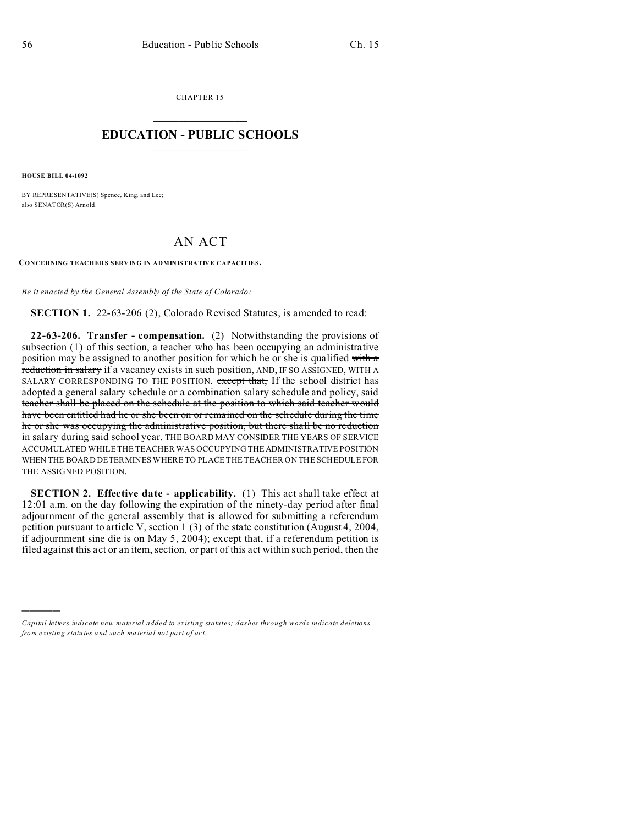CHAPTER 15  $\overline{\phantom{a}}$  , where  $\overline{\phantom{a}}$ 

## **EDUCATION - PUBLIC SCHOOLS**  $\_$   $\_$   $\_$   $\_$   $\_$   $\_$   $\_$   $\_$   $\_$

**HOUSE BILL 04-1092**

)))))

BY REPRESENTATIVE(S) Spence, King, and Lee; also SENATOR(S) Arnold.

## AN ACT

**CONCERNING TEACHERS SERVING IN ADMINISTRATIVE CAPACITIES.**

*Be it enacted by the General Assembly of the State of Colorado:*

**SECTION 1.** 22-63-206 (2), Colorado Revised Statutes, is amended to read:

**22-63-206. Transfer - compensation.** (2) Notwithstanding the provisions of subsection (1) of this section, a teacher who has been occupying an administrative position may be assigned to another position for which he or she is qualified with a reduction in salary if a vacancy exists in such position, AND, IF SO ASSIGNED, WITH A SALARY CORRESPONDING TO THE POSITION. except that, If the school district has adopted a general salary schedule or a combination salary schedule and policy, said teacher shall be placed on the schedule at the position to which said teacher would have been entitled had he or she been on or remained on the schedule during the time he or she was occupying the administrative position, but there shall be no reduction in salary during said school year. THE BOARD MAY CONSIDER THE YEARS OF SERVICE ACCUMULATED WHILE THE TEACHER WAS OCCUPYING THE ADMINISTRATIVE POSITION WHEN THE BOARD DETERMINES WHERE TO PLACE THE TEACHER ON THE SCHEDULEFOR THE ASSIGNED POSITION.

**SECTION 2. Effective date - applicability.** (1) This act shall take effect at 12:01 a.m. on the day following the expiration of the ninety-day period after final adjournment of the general assembly that is allowed for submitting a referendum petition pursuant to article V, section 1 (3) of the state constitution (August 4, 2004, if adjournment sine die is on May 5, 2004); except that, if a referendum petition is filed against this act or an item, section, or part of this act within such period, then the

*Capital letters indicate new material added to existing statutes; dashes through words indicate deletions from e xistin g statu tes a nd such ma teria l no t pa rt of ac t.*